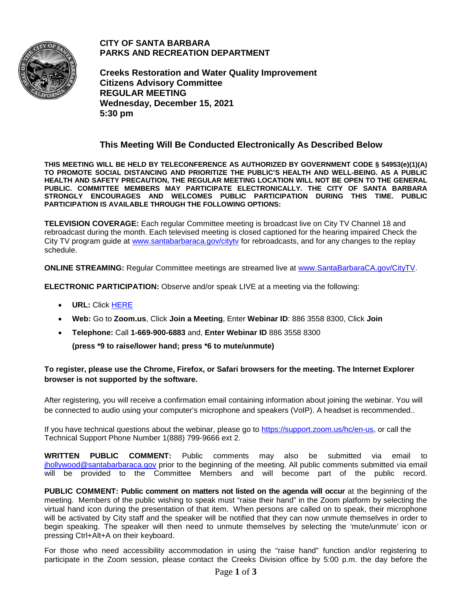

**CITY OF SANTA BARBARA PARKS AND RECREATION DEPARTMENT**

**Creeks Restoration and Water Quality Improvement Citizens Advisory Committee REGULAR MEETING Wednesday, December 15, 2021 5:30 pm**

## **This Meeting Will Be Conducted Electronically As Described Below**

**THIS MEETING WILL BE HELD BY TELECONFERENCE AS AUTHORIZED BY GOVERNMENT CODE § 54953(e)(1)(A) TO PROMOTE SOCIAL DISTANCING AND PRIORITIZE THE PUBLIC'S HEALTH AND WELL-BEING. AS A PUBLIC HEALTH AND SAFETY PRECAUTION, THE REGULAR MEETING LOCATION WILL NOT BE OPEN TO THE GENERAL PUBLIC. COMMITTEE MEMBERS MAY PARTICIPATE ELECTRONICALLY. THE CITY OF SANTA BARBARA STRONGLY ENCOURAGES AND WELCOMES PUBLIC PARTICIPATION DURING THIS TIME. PUBLIC PARTICIPATION IS AVAILABLE THROUGH THE FOLLOWING OPTIONS:**

**TELEVISION COVERAGE:** Each regular Committee meeting is broadcast live on City TV Channel 18 and rebroadcast during the month. Each televised meeting is closed captioned for the hearing impaired Check the City TV program guide at www.santabarbaraca.gov/cityty for rebroadcasts, and for any changes to the replay schedule.

**ONLINE STREAMING:** Regular Committee meetings are streamed live at [www.SantaBarbaraCA.gov/CityTV.](http://www.santabarbaraca.gov/CityTV)

**ELECTRONIC PARTICIPATION:** Observe and/or speak LIVE at a meeting via the following:

- **URL:** Click [HERE](https://santabarbaraca-gov.zoom.us/webinar/register/WN_TTyvacR7SFaCD0dThKY1fQ)
- **Web:** Go to **Zoom.us**, Click **Join a Meeting**, Enter **Webinar ID**: 886 3558 8300, Click **Join**
- **Telephone:** Call **1-669-900-6883** and, **Enter Webinar ID** 886 3558 8300

**(press \*9 to raise/lower hand; press \*6 to mute/unmute)**

### **To register, please use the Chrome, Firefox, or Safari browsers for the meeting. The Internet Explorer browser is not supported by the software.**

After registering, you will receive a confirmation email containing information about joining the webinar. You will be connected to audio using your computer's microphone and speakers (VoIP). A headset is recommended..

If you have technical questions about the webinar, please go to [https://support.zoom.us/hc/en-us,](https://support.zoom.us/hc/en-us) or call the Technical Support Phone Number 1(888) 799-9666 ext 2.

**WRITTEN PUBLIC COMMENT:** Public comments may also be submitted via email to [jhollywood@santabarbaraca.gov](mailto:jhollywood@santabarbaraca.gov) prior to the beginning of the meeting. All public comments submitted via email will be provided to the Committee Members and will become part of the public record.

**PUBLIC COMMENT: Public comment on matters not listed on the agenda will occur at the beginning of the** meeting. Members of the public wishing to speak must "raise their hand" in the Zoom platform by selecting the virtual hand icon during the presentation of that item. When persons are called on to speak, their microphone will be activated by City staff and the speaker will be notified that they can now unmute themselves in order to begin speaking. The speaker will then need to unmute themselves by selecting the 'mute/unmute' icon or pressing Ctrl+Alt+A on their keyboard.

For those who need accessibility accommodation in using the "raise hand" function and/or registering to participate in the Zoom session, please contact the Creeks Division office by 5:00 p.m. the day before the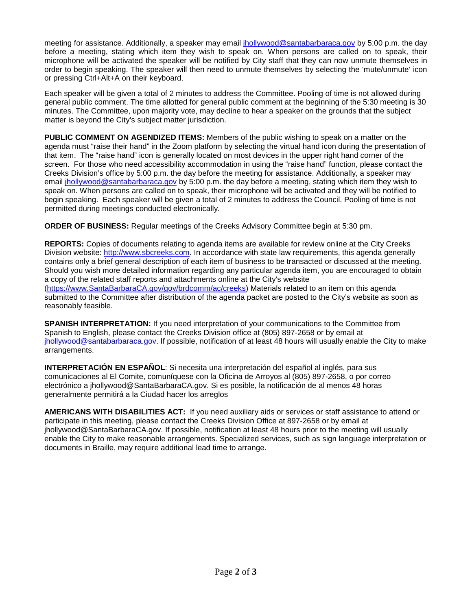meeting for assistance. Additionally, a speaker may email [jhollywood@santabarbaraca.gov](mailto:jhollywood@santabarbaraca.gov) by 5:00 p.m. the day before a meeting, stating which item they wish to speak on. When persons are called on to speak, their microphone will be activated the speaker will be notified by City staff that they can now unmute themselves in order to begin speaking. The speaker will then need to unmute themselves by selecting the 'mute/unmute' icon or pressing Ctrl+Alt+A on their keyboard.

Each speaker will be given a total of 2 minutes to address the Committee. Pooling of time is not allowed during general public comment. The time allotted for general public comment at the beginning of the 5:30 meeting is 30 minutes. The Committee, upon majority vote, may decline to hear a speaker on the grounds that the subject matter is beyond the City's subject matter jurisdiction.

**PUBLIC COMMENT ON AGENDIZED ITEMS:** Members of the public wishing to speak on a matter on the agenda must "raise their hand" in the Zoom platform by selecting the virtual hand icon during the presentation of that item. The "raise hand" icon is generally located on most devices in the upper right hand corner of the screen. For those who need accessibility accommodation in using the "raise hand" function, please contact the Creeks Division's office by 5:00 p.m. the day before the meeting for assistance. Additionally, a speaker may email [jhollywood@santabarbaraca.gov](mailto:jhollywood@santabarbaraca.gov) by 5:00 p.m. the day before a meeting, stating which item they wish to speak on. When persons are called on to speak, their microphone will be activated and they will be notified to begin speaking. Each speaker will be given a total of 2 minutes to address the Council. Pooling of time is not permitted during meetings conducted electronically.

**ORDER OF BUSINESS:** Regular meetings of the Creeks Advisory Committee begin at 5:30 pm.

**REPORTS:** Copies of documents relating to agenda items are available for review online at the City Creeks Division website: [http://www.sbcreeks.com.](http://www.sbcreeks.com/) In accordance with state law requirements, this agenda generally contains only a brief general description of each item of business to be transacted or discussed at the meeting. Should you wish more detailed information regarding any particular agenda item, you are encouraged to obtain a copy of the related staff reports and attachments online at the City's website [\(https://www.SantaBarbaraCA.gov/gov/brdcomm/ac/creeks\)](https://www.santabarbaraca.gov/gov/brdcomm/ac/creeks) Materials related to an item on this agenda submitted to the Committee after distribution of the agenda packet are posted to the City's website as soon as reasonably feasible.

**SPANISH INTERPRETATION:** If you need interpretation of your communications to the Committee from Spanish to English, please contact the Creeks Division office at (805) 897-2658 or by email at [jhollywood@santabarbaraca.gov.](mailto:jhollywood@santabarbaraca.gov) If possible, notification of at least 48 hours will usually enable the City to make arrangements.

**INTERPRETACIÓN EN ESPAÑOL**: Si necesita una interpretación del español al inglés, para sus comunicaciones al El Comite, comuníquese con la Oficina de Arroyos al (805) 897-2658, o por correo electrónico a jhollywood@SantaBarbaraCA.gov. Si es posible, la notificación de al menos 48 horas generalmente permitirá a la Ciudad hacer los arreglos

**AMERICANS WITH DISABILITIES ACT:** If you need auxiliary aids or services or staff assistance to attend or participate in this meeting, please contact the Creeks Division Office at 897-2658 or by email at jhollywood@SantaBarbaraCA.gov. If possible, notification at least 48 hours prior to the meeting will usually enable the City to make reasonable arrangements. Specialized services, such as sign language interpretation or documents in Braille, may require additional lead time to arrange.